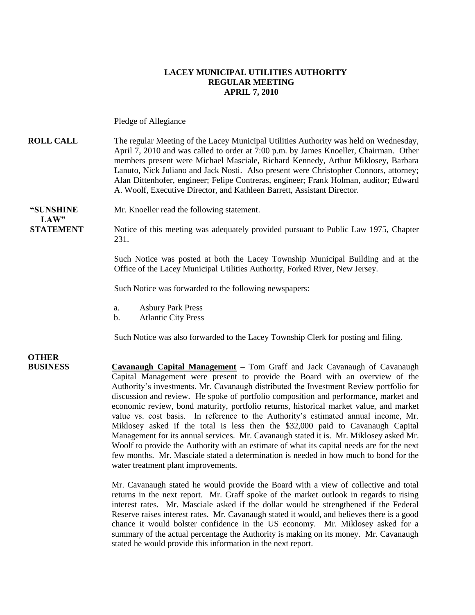#### **LACEY MUNICIPAL UTILITIES AUTHORITY REGULAR MEETING APRIL 7, 2010**

Pledge of Allegiance

**ROLL CALL** The regular Meeting of the Lacey Municipal Utilities Authority was held on Wednesday, April 7, 2010 and was called to order at 7:00 p.m. by James Knoeller, Chairman. Other members present were Michael Masciale, Richard Kennedy, Arthur Miklosey, Barbara Lanuto, Nick Juliano and Jack Nosti. Also present were Christopher Connors, attorney; Alan Dittenhofer, engineer; Felipe Contreras, engineer; Frank Holman, auditor; Edward A. Woolf, Executive Director, and Kathleen Barrett, Assistant Director.

**"SUNSHINE** Mr. Knoeller read the following statement.  $LAW"$ 

**STATEMENT** Notice of this meeting was adequately provided pursuant to Public Law 1975, Chapter 231.

> Such Notice was posted at both the Lacey Township Municipal Building and at the Office of the Lacey Municipal Utilities Authority, Forked River, New Jersey.

Such Notice was forwarded to the following newspapers:

- a. Asbury Park Press
- b. Atlantic City Press

Such Notice was also forwarded to the Lacey Township Clerk for posting and filing.

**OTHER** 

**BUSINESS Cavanaugh Capital Management –** Tom Graff and Jack Cavanaugh of Cavanaugh Capital Management were present to provide the Board with an overview of the Authority's investments. Mr. Cavanaugh distributed the Investment Review portfolio for discussion and review. He spoke of portfolio composition and performance, market and economic review, bond maturity, portfolio returns, historical market value, and market value vs. cost basis. In reference to the Authority's estimated annual income, Mr. Miklosey asked if the total is less then the \$32,000 paid to Cavanaugh Capital Management for its annual services. Mr. Cavanaugh stated it is. Mr. Miklosey asked Mr. Woolf to provide the Authority with an estimate of what its capital needs are for the next few months. Mr. Masciale stated a determination is needed in how much to bond for the water treatment plant improvements.

> Mr. Cavanaugh stated he would provide the Board with a view of collective and total returns in the next report. Mr. Graff spoke of the market outlook in regards to rising interest rates. Mr. Masciale asked if the dollar would be strengthened if the Federal Reserve raises interest rates. Mr. Cavanaugh stated it would, and believes there is a good chance it would bolster confidence in the US economy. Mr. Miklosey asked for a summary of the actual percentage the Authority is making on its money. Mr. Cavanaugh stated he would provide this information in the next report.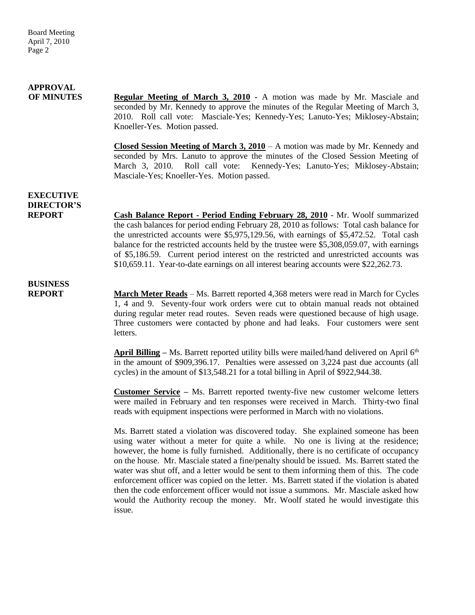#### **APPROVAL OF MINUTES Regular Meeting of March 3, 2010 -** A motion was made by Mr. Masciale and seconded by Mr. Kennedy to approve the minutes of the Regular Meeting of March 3, 2010. Roll call vote: Masciale-Yes; Kennedy-Yes; Lanuto-Yes; Miklosey-Abstain; Knoeller-Yes. Motion passed. **Closed Session Meeting of March 3, 2010** – A motion was made by Mr. Kennedy and seconded by Mrs. Lanuto to approve the minutes of the Closed Session Meeting of March 3, 2010. Roll call vote: Kennedy-Yes; Lanuto-Yes; Miklosey-Abstain; Masciale-Yes; Knoeller-Yes. Motion passed. **EXECUTIVE DIRECTOR'S REPORT Cash Balance Report - Period Ending February 28, 2010** - Mr. Woolf summarized the cash balances for period ending February 28, 2010 as follows: Total cash balance for the unrestricted accounts were \$5,975,129.56, with earnings of \$5,472.52. Total cash balance for the restricted accounts held by the trustee were \$5,308,059.07, with earnings of \$5,186.59. Current period interest on the restricted and unrestricted accounts was \$10,659.11. Year-to-date earnings on all interest bearing accounts were \$22,262.73. **BUSINESS REPORT March Meter Reads** – Ms. Barrett reported 4,368 meters were read in March for Cycles 1, 4 and 9. Seventy-four work orders were cut to obtain manual reads not obtained during regular meter read routes. Seven reads were questioned because of high usage. Three customers were contacted by phone and had leaks. Four customers were sent letters.

April Billing – Ms. Barrett reported utility bills were mailed/hand delivered on April 6<sup>th</sup> in the amount of \$909,396.17. Penalties were assessed on 3,224 past due accounts (all cycles) in the amount of \$13,548.21 for a total billing in April of \$922,944.38.

**Customer Service –** Ms. Barrett reported twenty-five new customer welcome letters were mailed in February and ten responses were received in March. Thirty-two final reads with equipment inspections were performed in March with no violations.

Ms. Barrett stated a violation was discovered today. She explained someone has been using water without a meter for quite a while. No one is living at the residence; however, the home is fully furnished. Additionally, there is no certificate of occupancy on the house. Mr. Masciale stated a fine/penalty should be issued. Ms. Barrett stated the water was shut off, and a letter would be sent to them informing them of this. The code enforcement officer was copied on the letter. Ms. Barrett stated if the violation is abated then the code enforcement officer would not issue a summons. Mr. Masciale asked how would the Authority recoup the money. Mr. Woolf stated he would investigate this issue.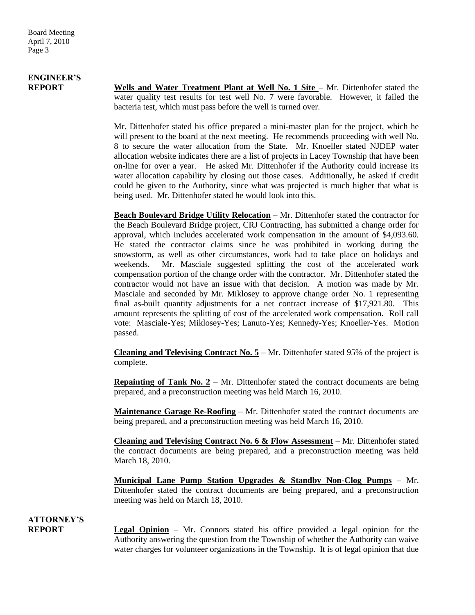# **ENGINEER'S**

**REPORT Wells and Water Treatment Plant at Well No. 1 Site – Mr. Dittenhofer stated the** water quality test results for test well No. 7 were favorable. However, it failed the bacteria test, which must pass before the well is turned over.

> Mr. Dittenhofer stated his office prepared a mini-master plan for the project, which he will present to the board at the next meeting. He recommends proceeding with well No. 8 to secure the water allocation from the State. Mr. Knoeller stated NJDEP water allocation website indicates there are a list of projects in Lacey Township that have been on-line for over a year. He asked Mr. Dittenhofer if the Authority could increase its water allocation capability by closing out those cases. Additionally, he asked if credit could be given to the Authority, since what was projected is much higher that what is being used. Mr. Dittenhofer stated he would look into this.

> **Beach Boulevard Bridge Utility Relocation** – Mr. Dittenhofer stated the contractor for the Beach Boulevard Bridge project, CRJ Contracting, has submitted a change order for approval, which includes accelerated work compensation in the amount of \$4,093.60. He stated the contractor claims since he was prohibited in working during the snowstorm, as well as other circumstances, work had to take place on holidays and weekends. Mr. Masciale suggested splitting the cost of the accelerated work compensation portion of the change order with the contractor. Mr. Dittenhofer stated the contractor would not have an issue with that decision. A motion was made by Mr. Masciale and seconded by Mr. Miklosey to approve change order No. 1 representing final as-built quantity adjustments for a net contract increase of \$17,921.80. This amount represents the splitting of cost of the accelerated work compensation. Roll call vote: Masciale-Yes; Miklosey-Yes; Lanuto-Yes; Kennedy-Yes; Knoeller-Yes. Motion passed.

> **Cleaning and Televising Contract No. 5** – Mr. Dittenhofer stated 95% of the project is complete.

> **Repainting of Tank No. 2** – Mr. Dittenhofer stated the contract documents are being prepared, and a preconstruction meeting was held March 16, 2010.

> **Maintenance Garage Re-Roofing** – Mr. Dittenhofer stated the contract documents are being prepared, and a preconstruction meeting was held March 16, 2010.

> **Cleaning and Televising Contract No. 6 & Flow Assessment** – Mr. Dittenhofer stated the contract documents are being prepared, and a preconstruction meeting was held March 18, 2010.

> **Municipal Lane Pump Station Upgrades & Standby Non-Clog Pumps** – Mr. Dittenhofer stated the contract documents are being prepared, and a preconstruction meeting was held on March 18, 2010.

### **ATTORNEY'S**

**REPORT Legal Opinion** – Mr. Connors stated his office provided a legal opinion for the Authority answering the question from the Township of whether the Authority can waive water charges for volunteer organizations in the Township. It is of legal opinion that due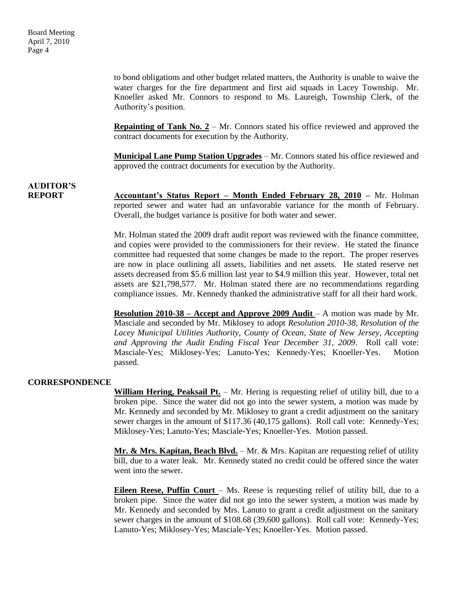to bond obligations and other budget related matters, the Authority is unable to waive the water charges for the fire department and first aid squads in Lacey Township. Mr. Knoeller asked Mr. Connors to respond to Ms. Laureigh, Township Clerk, of the Authority's position.

**Repainting of Tank No.**  $2 - Mr$ **.** Connors stated his office reviewed and approved the contract documents for execution by the Authority.

**Municipal Lane Pump Station Upgrades** – Mr. Connors stated his office reviewed and approved the contract documents for execution by the Authority.

### **AUDITOR'S**

**REPORT Accountant's Status Report – Month Ended February 28, 2010 –** Mr. Holman reported sewer and water had an unfavorable variance for the month of February. Overall, the budget variance is positive for both water and sewer.

> Mr. Holman stated the 2009 draft audit report was reviewed with the finance committee, and copies were provided to the commissioners for their review. He stated the finance committee had requested that some changes be made to the report. The proper reserves are now in place outlining all assets, liabilities and net assets. He stated reserve net assets decreased from \$5.6 million last year to \$4.9 million this year. However, total net assets are \$21,798,577. Mr. Holman stated there are no recommendations regarding compliance issues. Mr. Kennedy thanked the administrative staff for all their hard work.

> **Resolution 2010-38 – Accept and Approve 2009 Audit** – A motion was made by Mr. Masciale and seconded by Mr. Miklosey to adopt *Resolution 2010-38, Resolution of the Lacey Municipal Utilities Authority, County of Ocean, State of New Jersey, Accepting and Approving the Audit Ending Fiscal Year December 31, 2009*. Roll call vote: Masciale-Yes; Miklosey-Yes; Lanuto-Yes; Kennedy-Yes; Knoeller-Yes. Motion passed.

#### **CORRESPONDENCE**

**William Hering, Peaksail Pt.** – Mr. Hering is requesting relief of utility bill, due to a broken pipe. Since the water did not go into the sewer system, a motion was made by Mr. Kennedy and seconded by Mr. Miklosey to grant a credit adjustment on the sanitary sewer charges in the amount of \$117.36 (40,175 gallons). Roll call vote: Kennedy-Yes; Miklosey-Yes; Lanuto-Yes; Masciale-Yes; Knoeller-Yes. Motion passed.

**Mr. & Mrs. Kapitan, Beach Blvd.** – Mr. & Mrs. Kapitan are requesting relief of utility bill, due to a water leak. Mr. Kennedy stated no credit could be offered since the water went into the sewer.

**Eileen Reese, Puffin Court** – Ms. Reese is requesting relief of utility bill, due to a broken pipe. Since the water did not go into the sewer system, a motion was made by Mr. Kennedy and seconded by Mrs. Lanuto to grant a credit adjustment on the sanitary sewer charges in the amount of \$108.68 (39,600 gallons). Roll call vote: Kennedy-Yes; Lanuto-Yes; Miklosey-Yes; Masciale-Yes; Knoeller-Yes. Motion passed.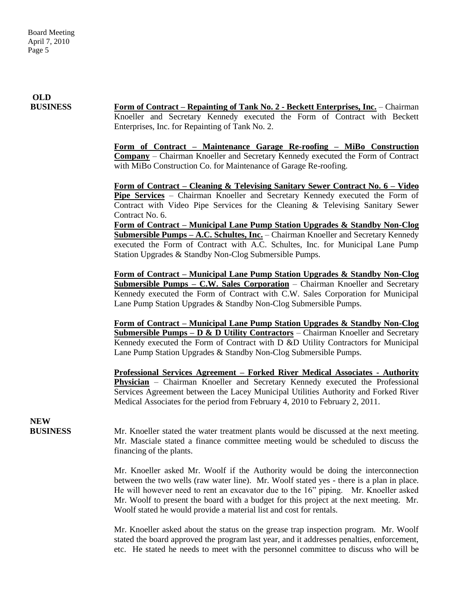**OLD**

**BUSINESS Form of Contract – Repainting of Tank No. 2 - Beckett Enterprises, Inc.** – Chairman Knoeller and Secretary Kennedy executed the Form of Contract with Beckett Enterprises, Inc. for Repainting of Tank No. 2.

> **Form of Contract – Maintenance Garage Re-roofing – MiBo Construction Company** – Chairman Knoeller and Secretary Kennedy executed the Form of Contract with MiBo Construction Co. for Maintenance of Garage Re-roofing.

> **Form of Contract – Cleaning & Televising Sanitary Sewer Contract No. 6 – Video Pipe Services** – Chairman Knoeller and Secretary Kennedy executed the Form of Contract with Video Pipe Services for the Cleaning & Televising Sanitary Sewer Contract No. 6.

> **Form of Contract – Municipal Lane Pump Station Upgrades & Standby Non-Clog Submersible Pumps – A.C. Schultes, Inc.** – Chairman Knoeller and Secretary Kennedy executed the Form of Contract with A.C. Schultes, Inc. for Municipal Lane Pump Station Upgrades & Standby Non-Clog Submersible Pumps.

> **Form of Contract – Municipal Lane Pump Station Upgrades & Standby Non-Clog Submersible Pumps – C.W. Sales Corporation** – Chairman Knoeller and Secretary Kennedy executed the Form of Contract with C.W. Sales Corporation for Municipal Lane Pump Station Upgrades & Standby Non-Clog Submersible Pumps.

> **Form of Contract – Municipal Lane Pump Station Upgrades & Standby Non-Clog Submersible Pumps – D & D Utility Contractors** – Chairman Knoeller and Secretary Kennedy executed the Form of Contract with D &D Utility Contractors for Municipal Lane Pump Station Upgrades & Standby Non-Clog Submersible Pumps.

> **Professional Services Agreement – Forked River Medical Associates - Authority Physician** – Chairman Knoeller and Secretary Kennedy executed the Professional Services Agreement between the Lacey Municipal Utilities Authority and Forked River Medical Associates for the period from February 4, 2010 to February 2, 2011.

**NEW**

**BUSINESS** Mr. Knoeller stated the water treatment plants would be discussed at the next meeting. Mr. Masciale stated a finance committee meeting would be scheduled to discuss the financing of the plants.

> Mr. Knoeller asked Mr. Woolf if the Authority would be doing the interconnection between the two wells (raw water line). Mr. Woolf stated yes - there is a plan in place. He will however need to rent an excavator due to the 16" piping. Mr. Knoeller asked Mr. Woolf to present the board with a budget for this project at the next meeting. Mr. Woolf stated he would provide a material list and cost for rentals.

> Mr. Knoeller asked about the status on the grease trap inspection program. Mr. Woolf stated the board approved the program last year, and it addresses penalties, enforcement, etc. He stated he needs to meet with the personnel committee to discuss who will be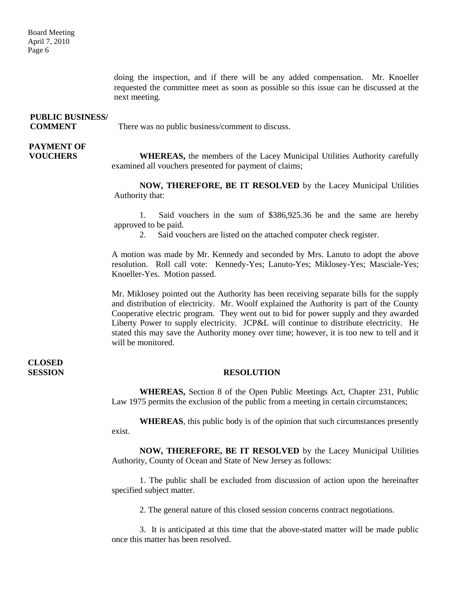doing the inspection, and if there will be any added compensation. Mr. Knoeller requested the committee meet as soon as possible so this issue can be discussed at the next meeting.

| <b>PUBLIC BUSINESS/</b> |                                                  |
|-------------------------|--------------------------------------------------|
| <b>COMMENT</b>          | There was no public business/comment to discuss. |

# **PAYMENT OF**

**VOUCHERS** WHEREAS, the members of the Lacey Municipal Utilities Authority carefully examined all vouchers presented for payment of claims;

> **NOW, THEREFORE, BE IT RESOLVED** by the Lacey Municipal Utilities Authority that:

> 1. Said vouchers in the sum of \$386,925.36 be and the same are hereby approved to be paid.

2. Said vouchers are listed on the attached computer check register.

A motion was made by Mr. Kennedy and seconded by Mrs. Lanuto to adopt the above resolution. Roll call vote: Kennedy-Yes; Lanuto-Yes; Miklosey-Yes; Masciale-Yes; Knoeller-Yes. Motion passed.

Mr. Miklosey pointed out the Authority has been receiving separate bills for the supply and distribution of electricity. Mr. Woolf explained the Authority is part of the County Cooperative electric program. They went out to bid for power supply and they awarded Liberty Power to supply electricity. JCP&L will continue to distribute electricity. He stated this may save the Authority money over time; however, it is too new to tell and it will be monitored.

# **CLOSED**

#### **SESSION RESOLUTION**

**WHEREAS,** Section 8 of the Open Public Meetings Act, Chapter 231, Public Law 1975 permits the exclusion of the public from a meeting in certain circumstances;

**WHEREAS**, this public body is of the opinion that such circumstances presently exist.

**NOW, THEREFORE, BE IT RESOLVED** by the Lacey Municipal Utilities Authority, County of Ocean and State of New Jersey as follows:

1. The public shall be excluded from discussion of action upon the hereinafter specified subject matter.

2. The general nature of this closed session concerns contract negotiations.

3. It is anticipated at this time that the above-stated matter will be made public once this matter has been resolved.